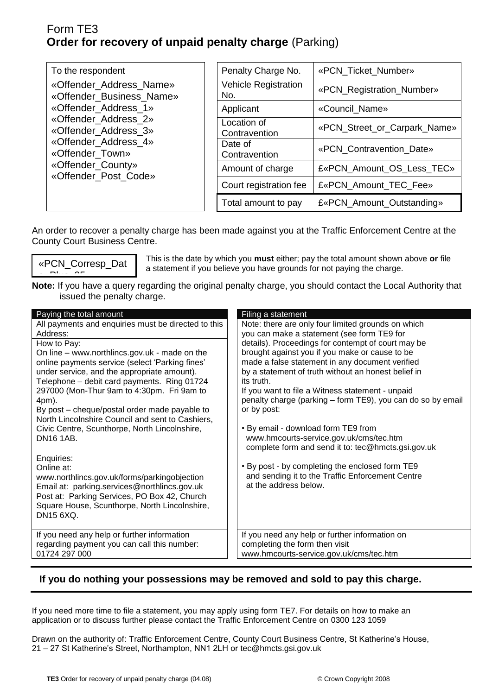## Form TE3 **Order for recovery of unpaid penalty charge** (Parking)

| To the respondent                                                                                                                                                                                                   | Penalty Charge No.                 | «PCN_Ticket_Number»<br>«PCN_Registration_Number» |  |
|---------------------------------------------------------------------------------------------------------------------------------------------------------------------------------------------------------------------|------------------------------------|--------------------------------------------------|--|
| «Offender_Address_Name»<br>«Offender_Business_Name»<br>«Offender Address 1»<br>«Offender_Address_2»<br>«Offender_Address_3»<br>«Offender Address 4»<br>«Offender_Town»<br>«Offender_County»<br>«Offender_Post_Code» | <b>Vehicle Registration</b><br>No. |                                                  |  |
|                                                                                                                                                                                                                     | Applicant                          | «Council_Name»                                   |  |
|                                                                                                                                                                                                                     | Location of<br>Contravention       | «PCN_Street_or_Carpark_Name»                     |  |
|                                                                                                                                                                                                                     | Date of<br>Contravention           | «PCN Contravention Date»                         |  |
|                                                                                                                                                                                                                     | Amount of charge                   | £«PCN_Amount_OS_Less_TEC»                        |  |
|                                                                                                                                                                                                                     | Court registration fee             | £«PCN_Amount_TEC_Fee»                            |  |
|                                                                                                                                                                                                                     | Total amount to pay                | £«PCN_Amount_Outstanding»                        |  |

An order to recover a penalty charge has been made against you at the Traffic Enforcement Centre at the County Court Business Centre.

«PCN\_Corresp\_Dat  $P(x) = 25$ 

This is the date by which you **must** either; pay the total amount shown above **or** file a statement if you believe you have grounds for not paying the charge.

**Note:** If you have a query regarding the original penalty charge, you should contact the Local Authority that issued the penalty charge.

| Paying the total amount                                                                                                                                                                                                                                  | Filing a statement                                                                                                                                                                                                                                                                                                 |
|----------------------------------------------------------------------------------------------------------------------------------------------------------------------------------------------------------------------------------------------------------|--------------------------------------------------------------------------------------------------------------------------------------------------------------------------------------------------------------------------------------------------------------------------------------------------------------------|
| All payments and enquiries must be directed to this<br>Address:<br>How to Pay:<br>On line – www.northlincs.gov.uk - made on the<br>online payments service (select 'Parking fines'<br>under service, and the appropriate amount).                        | Note: there are only four limited grounds on which<br>you can make a statement (see form TE9 for<br>details). Proceedings for contempt of court may be<br>brought against you if you make or cause to be<br>made a false statement in any document verified<br>by a statement of truth without an honest belief in |
| Telephone - debit card payments. Ring 01724<br>297000 (Mon-Thur 9am to 4:30pm. Fri 9am to<br>4pm).<br>By post – cheque/postal order made payable to<br>North Lincolnshire Council and sent to Cashiers,<br>Civic Centre, Scunthorpe, North Lincolnshire, | its truth.<br>If you want to file a Witness statement - unpaid<br>penalty charge (parking – form TE9), you can do so by email<br>or by post:<br>• By email - download form TE9 from                                                                                                                                |
| <b>DN16 1AB.</b>                                                                                                                                                                                                                                         | www.hmcourts-service.gov.uk/cms/tec.htm<br>complete form and send it to: tec@hmcts.gsi.gov.uk                                                                                                                                                                                                                      |
| Enquiries:<br>Online at:<br>www.northlincs.gov.uk/forms/parkingobjection<br>Email at: parking.services@northlincs.gov.uk<br>Post at: Parking Services, PO Box 42, Church<br>Square House, Scunthorpe, North Lincolnshire,<br>DN15 6XQ.                   | . By post - by completing the enclosed form TE9<br>and sending it to the Traffic Enforcement Centre<br>at the address below.                                                                                                                                                                                       |
| If you need any help or further information<br>regarding payment you can call this number:<br>01724 297 000                                                                                                                                              | If you need any help or further information on<br>completing the form then visit<br>www.hmcourts-service.gov.uk/cms/tec.htm                                                                                                                                                                                        |

### **If you do nothing your possessions may be removed and sold to pay this charge.**

If you need more time to file a statement, you may apply using form TE7. For details on how to make an application or to discuss further please contact the Traffic Enforcement Centre on 0300 123 1059

Drawn on the authority of: Traffic Enforcement Centre, County Court Business Centre, St Katherine's House, 21 – 27 St Katherine's Street, Northampton, NN1 2LH or tec@hmcts.gsi.gov.uk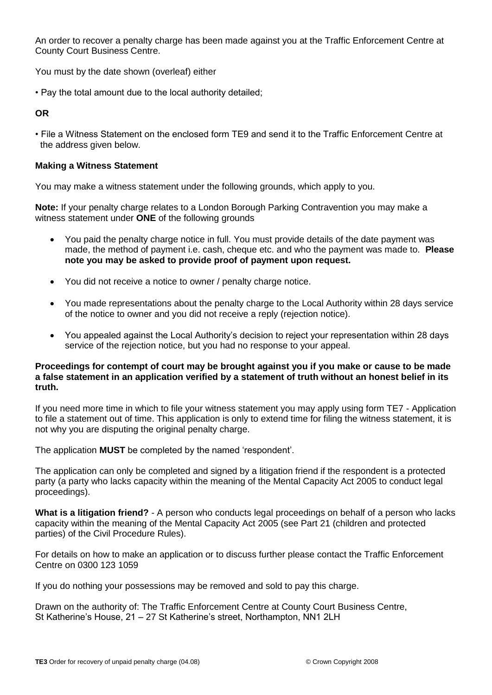An order to recover a penalty charge has been made against you at the Traffic Enforcement Centre at County Court Business Centre.

You must by the date shown (overleaf) either

• Pay the total amount due to the local authority detailed;

#### **OR**

• File a Witness Statement on the enclosed form TE9 and send it to the Traffic Enforcement Centre at the address given below.

#### **Making a Witness Statement**

You may make a witness statement under the following grounds, which apply to you.

**Note:** If your penalty charge relates to a London Borough Parking Contravention you may make a witness statement under **ONE** of the following grounds

- You paid the penalty charge notice in full. You must provide details of the date payment was made, the method of payment i.e. cash, cheque etc. and who the payment was made to. **Please note you may be asked to provide proof of payment upon request.**
- You did not receive a notice to owner / penalty charge notice.
- You made representations about the penalty charge to the Local Authority within 28 days service of the notice to owner and you did not receive a reply (rejection notice).
- You appealed against the Local Authority's decision to reject your representation within 28 days service of the rejection notice, but you had no response to your appeal.

#### **Proceedings for contempt of court may be brought against you if you make or cause to be made a false statement in an application verified by a statement of truth without an honest belief in its truth.**

If you need more time in which to file your witness statement you may apply using form TE7 - Application to file a statement out of time. This application is only to extend time for filing the witness statement, it is not why you are disputing the original penalty charge.

The application **MUST** be completed by the named 'respondent'.

The application can only be completed and signed by a litigation friend if the respondent is a protected party (a party who lacks capacity within the meaning of the Mental Capacity Act 2005 to conduct legal proceedings).

**What is a litigation friend?** - A person who conducts legal proceedings on behalf of a person who lacks capacity within the meaning of the Mental Capacity Act 2005 (see Part 21 (children and protected parties) of the Civil Procedure Rules).

For details on how to make an application or to discuss further please contact the Traffic Enforcement Centre on 0300 123 1059

If you do nothing your possessions may be removed and sold to pay this charge.

Drawn on the authority of: The Traffic Enforcement Centre at County Court Business Centre, St Katherine's House, 21 – 27 St Katherine's street, Northampton, NN1 2LH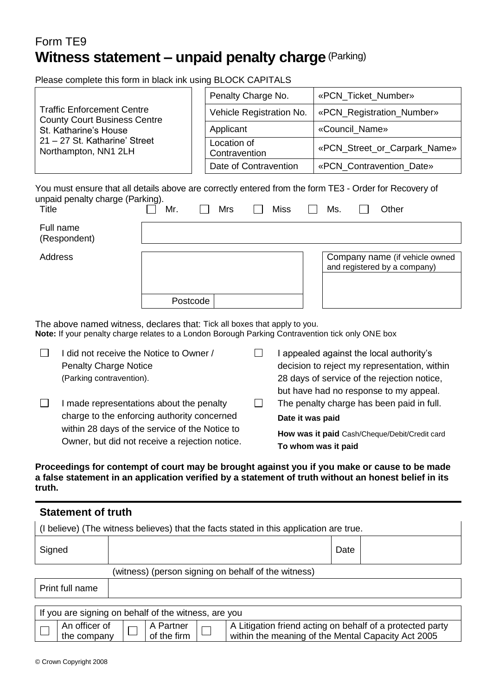# Form TE9 **Witness statement – unpaid penalty charge**(Parking)

Please complete this form in black ink using BLOCK CAPITALS

|                                                                          |     |  | Penalty Charge No.           |  |                              | «PCN_Ticket_Number»                                                                                                    |  |  |
|--------------------------------------------------------------------------|-----|--|------------------------------|--|------------------------------|------------------------------------------------------------------------------------------------------------------------|--|--|
| <b>Traffic Enforcement Centre</b><br><b>County Court Business Centre</b> |     |  | Vehicle Registration No.     |  |                              | «PCN_Registration_Number»                                                                                              |  |  |
| St. Katharine's House                                                    |     |  | Applicant                    |  | «Council Name»               |                                                                                                                        |  |  |
| 21 – 27 St. Katharine' Street<br>Northampton, NN1 2LH                    |     |  | Location of<br>Contravention |  | «PCN_Street_or_Carpark_Name» |                                                                                                                        |  |  |
|                                                                          |     |  | Date of Contravention        |  | «PCN Contravention Date»     |                                                                                                                        |  |  |
| unpaid penalty charge (Parking).<br>Title                                | Mr. |  | Mrs                          |  | <b>Miss</b>                  | You must ensure that all details above are correctly entered from the form TE3 - Order for Recovery of<br>Ms.<br>Other |  |  |
| Full name<br>(Respondent)                                                |     |  |                              |  |                              |                                                                                                                        |  |  |
| Address                                                                  |     |  |                              |  |                              | Company name (if vehicle owned<br>and registered by a company)                                                         |  |  |

The above named witness, declares that: Tick all boxes that apply to you. **Note:** If your penalty charge relates to a London Borough Parking Contravention tick only ONE box

Postcode

 $\Box$ I did not receive the Notice to Owner /  $\Box$ I appealed against the local authority's Penalty Charge Notice decision to reject my representation, within (Parking contravention). 28 days of service of the rejection notice, but have had no response to my appeal.  $\Box$ I made representations about the penalty  $\Box$ The penalty charge has been paid in full. charge to the enforcing authority concerned **Date it was paid**  within 28 days of the service of the Notice to **How was it paid** Cash/Cheque/Debit/Credit card Owner, but did not receive a rejection notice. **To whom was it paid** 

**Proceedings for contempt of court may be brought against you if you make or cause to be made a false statement in an application verified by a statement of truth without an honest belief in its truth.**

| <b>Statement of truth</b> |                                                                                        |      |  |  |  |
|---------------------------|----------------------------------------------------------------------------------------|------|--|--|--|
|                           | (I believe) (The witness believes) that the facts stated in this application are true. |      |  |  |  |
| Signed                    |                                                                                        | Date |  |  |  |
|                           | (witness) (person signing on behalf of the witness)                                    |      |  |  |  |
| Print full name           |                                                                                        |      |  |  |  |
|                           | If you are signing on behalf of the witness, are you                                   |      |  |  |  |

| I If you are signing on behalf of the witness, are you |                                                    |  |                    |  |                                                                                                                 |  |
|--------------------------------------------------------|----------------------------------------------------|--|--------------------|--|-----------------------------------------------------------------------------------------------------------------|--|
|                                                        | An officer of $\Box \Box$ A Partner<br>the company |  | of the firm $\Box$ |  | A Litigation friend acting on behalf of a protected party<br>within the meaning of the Mental Capacity Act 2005 |  |